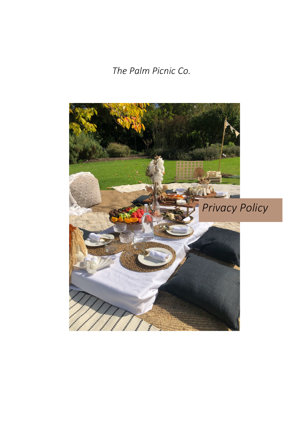*The Palm Picnic Co.*

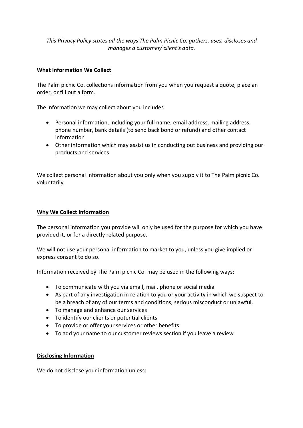*This Privacy Policy states all the ways The Palm Picnic Co. gathers, uses, discloses and manages a customer/ client's data.*

# **What Information We Collect**

The Palm picnic Co. collections information from you when you request a quote, place an order, or fill out a form.

The information we may collect about you includes

- Personal information, including your full name, email address, mailing address, phone number, bank details (to send back bond or refund) and other contact information
- Other information which may assist us in conducting out business and providing our products and services

We collect personal information about you only when you supply it to The Palm picnic Co. voluntarily.

### **Why We Collect Information**

The personal information you provide will only be used for the purpose for which you have provided it, or for a directly related purpose.

We will not use your personal information to market to you, unless you give implied or express consent to do so.

Information received by The Palm picnic Co. may be used in the following ways:

- To communicate with you via email, mail, phone or social media
- As part of any investigation in relation to you or your activity in which we suspect to be a breach of any of our terms and conditions, serious misconduct or unlawful.
- To manage and enhance our services
- To identify our clients or potential clients
- To provide or offer your services or other benefits
- To add your name to our customer reviews section if you leave a review

#### **Disclosing Information**

We do not disclose your information unless: